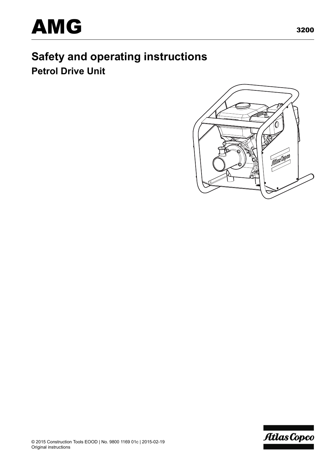

# **Safety and operating instructions Petrol Drive Unit**



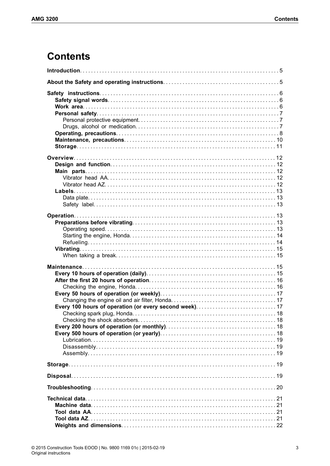# **Contents**

| Every 100 hours of operation (or every second week)17 |
|-------------------------------------------------------|
|                                                       |
|                                                       |
|                                                       |
|                                                       |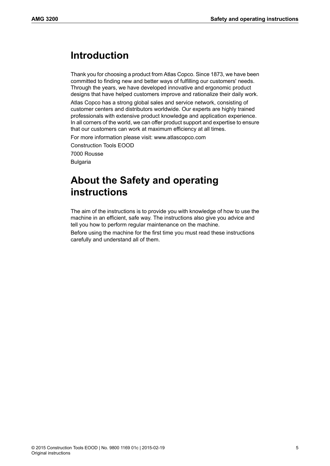## <span id="page-4-0"></span>**Introduction**

Thank you for choosing a product from Atlas Copco. Since 1873, we have been committed to finding new and better ways of fulfilling our customers' needs. Through the years, we have developed innovative and ergonomic product designs that have helped customers improve and rationalize their daily work.

Atlas Copco has a strong global sales and service network, consisting of customer centers and distributors worldwide. Our experts are highly trained professionals with extensive product knowledge and application experience. In all corners of the world, we can offer product support and expertise to ensure that our customers can work at maximum efficiency at all times.

For more information please visit: www.atlascopco.com Construction Tools EOOD

<span id="page-4-1"></span>7000 Rousse

Bulgaria

# **About the Safety and operating instructions**

The aim of the instructions is to provide you with knowledge of how to use the machine in an efficient, safe way. The instructions also give you advice and tell you how to perform regular maintenance on the machine.

Before using the machine for the first time you must read these instructions carefully and understand all of them.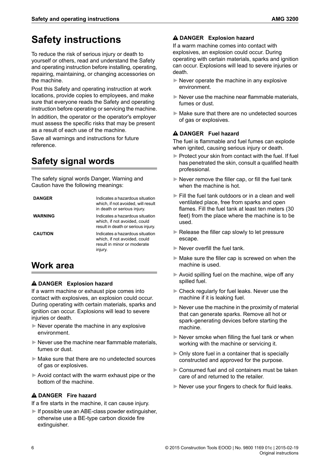# <span id="page-5-0"></span>**Safety instructions**

To reduce the risk of serious injury or death to yourself or others, read and understand the Safety and operating instruction before installing, operating, repairing, maintaining, or changing accessories on the machine.

Post this Safety and operating instruction at work locations, provide copies to employees, and make sure that everyone reads the Safety and operating instruction before operating or servicing the machine.

In addition, the operator or the operator's employer must assess the specific risks that may be present as a result of each use of the machine.

<span id="page-5-1"></span>Save all warnings and instructions for future reference.

## **Safety signal words**

The safety signal words Danger, Warning and Caution have the following meanings:

| <b>DANGER</b>  | Indicates a hazardous situation<br>which, if not avoided, will result<br>in death or serious injury.      |
|----------------|-----------------------------------------------------------------------------------------------------------|
| WARNING        | Indicates a hazardous situation<br>which, if not avoided, could<br>result in death or serious injury.     |
| <b>CAUTION</b> | Indicates a hazardous situation<br>which, if not avoided, could<br>result in minor or moderate<br>injury. |

## <span id="page-5-2"></span>**Work area**

### **DANGER Explosion hazard**

If a warm machine or exhaust pipe comes into contact with explosives, an explosion could occur. During operating with certain materials, sparks and ignition can occur. Explosions will lead to severe injuries or death.

- $\blacktriangleright$  Never operate the machine in any explosive environment.
- $\blacktriangleright$  Never use the machine near flammable materials, fumes or dust.
- ►Make sure that there are no undetected sources of gas or explosives.
- ► Avoid contact with the warm exhaust pipe or the bottom of the machine.

### **DANGER Fire hazard**

If a fire starts in the machine, it can cause injury.

 $\blacktriangleright$  If possible use an ABE-class powder extinguisher, otherwise use a BE-type carbon dioxide fire extinguisher.

### **DANGER Explosion hazard**

If a warm machine comes into contact with explosives, an explosion could occur. During operating with certain materials, sparks and ignition can occur. Explosions will lead to severe injuries or death.

- $\blacktriangleright$  Never operate the machine in any explosive environment.
- $\blacktriangleright$  Never use the machine near flammable materials, fumes or dust.
- ►Make sure that there are no undetected sources of gas or explosives.

### **DANGER Fuel hazard**

The fuel is flammable and fuel fumes can explode when ignited, causing serious injury or death.

- ► Protect your skin from contact with the fuel. If fuel has penetrated the skin, consult a qualified health professional.
- ► Never remove the filler cap, or fill the fuel tank when the machine is hot.
- ►Fill the fuel tank outdoors or in a clean and well ventilated place, free from sparks and open flames. Fill the fuel tank at least ten meters (30 feet) from the place where the machine is to be used.
- ► Release the filler cap slowly to let pressure escape.
- ► Never overfill the fuel tank.
- $\blacktriangleright$  Make sure the filler cap is screwed on when the machine is used.
- ► Avoid spilling fuel on the machine, wipe off any spilled fuel.
- ►Check regularly for fuel leaks. Never use the machine if it is leaking fuel.
- $\blacktriangleright$  Never use the machine in the proximity of material that can generate sparks. Remove all hot or spark-generating devices before starting the machine.
- $\blacktriangleright$  Never smoke when filling the fuel tank or when working with the machine or servicing it.
- ►Only store fuel in a container that is specially constructed and approved for the purpose.
- ► Consumed fuel and oil containers must be taken care of and returned to the retailer.
- ► Never use your fingers to check for fluid leaks.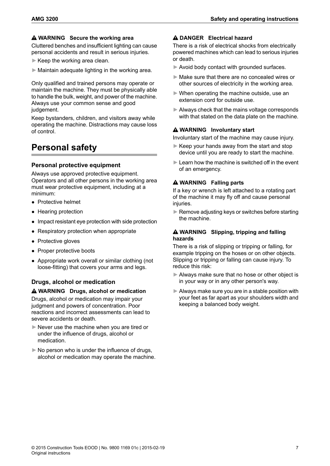### **WARNING Secure the working area**

Cluttered benches and insufficient lighting can cause personal accidents and result in serious injuries.

- $\blacktriangleright$  Keep the working area clean.
- $\blacktriangleright$  Maintain adequate lighting in the working area.

Only qualified and trained persons may operate or maintain the machine. They must be physically able to handle the bulk, weight, and power of the machine. Always use your common sense and good judgement.

<span id="page-6-0"></span>Keep bystanders, children, and visitors away while operating the machine. Distractions may cause loss of control.

### <span id="page-6-1"></span>**Personal safety**

### **Personal protective equipment**

Always use approved protective equipment. Operators and all other persons in the working area must wear protective equipment, including at a minimum:

- Protective helmet
- Hearing protection
- Impact resistant eye protection with side protection
- Respiratory protection when appropriate
- Protective gloves
- <span id="page-6-2"></span>• Proper protective boots
- Appropriate work overall or similar clothing (not loose-fitting) that covers your arms and legs.

### **Drugs, alcohol or medication**

**WARNING Drugs, alcohol or medication** Drugs, alcohol or medication may impair your judgment and powers of concentration. Poor reactions and incorrect assessments can lead to severe accidents or death.

- ►Never use the machine when you are tired or under the influence of drugs, alcohol or medication.
- $\triangleright$  No person who is under the influence of drugs, alcohol or medication may operate the machine.

### **DANGER Electrical hazard**

There is a risk of electrical shocks from electrically powered machines which can lead to serious injuries or death.

- ►Avoid body contact with grounded surfaces.
- ►Make sure that there are no concealed wires or other sources of electricity in the working area.
- ►When operating the machine outside, use an extension cord for outside use.
- ► Always check that the mains voltage corresponds with that stated on the data plate on the machine.

### **WARNING Involuntary start**

Involuntary start of the machine may cause injury.

- $\blacktriangleright$  Keep your hands away from the start and stop device until you are ready to start the machine.
- $\blacktriangleright$  Learn how the machine is switched off in the event of an emergency.

### **WARNING Falling parts**

If a key or wrench is left attached to a rotating part of the machine it may fly off and cause personal iniuries.

 $\blacktriangleright$  Remove adiusting keys or switches before starting the machine.

### **WARNING Slipping, tripping and falling hazards**

There is a risk of slipping or tripping or falling, for example tripping on the hoses or on other objects. Slipping or tripping or falling can cause injury. To reduce this risk:

- ►Always make sure that no hose or other object is in your way or in any other person's way.
- $\blacktriangleright$  Always make sure you are in a stable position with your feet as far apart as your shoulders width and keeping a balanced body weight.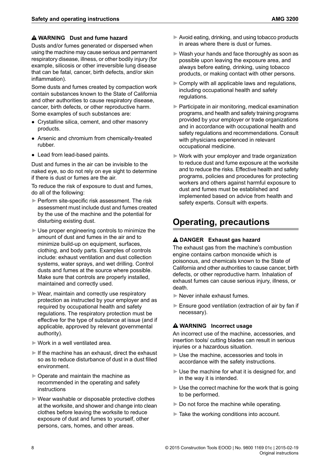### **WARNING Dust and fume hazard**

Dusts and/or fumes generated or dispersed when using the machine may cause serious and permanent respiratory disease, illness, or other bodily injury (for example, silicosis or other irreversible lung disease that can be fatal, cancer, birth defects, and/or skin inflammation).

Some dusts and fumes created by compaction work contain substances known to the State of California and other authorities to cause respiratory disease, cancer, birth defects, or other reproductive harm. Some examples of such substances are:

- Crystalline silica, cement, and other masonry products.
- Arsenic and chromium from chemically-treated rubber.
- Lead from lead-based paints.

Dust and fumes in the air can be invisible to the naked eye, so do not rely on eye sight to determine if there is dust or fumes are the air.

To reduce the risk of exposure to dust and fumes, do all of the following:

- ► Perform site-specific risk assessment. The risk assessment must include dust and fumes created by the use of the machine and the potential for disturbing existing dust.
- ► Use proper engineering controls to minimize the amount of dust and fumes in the air and to minimize build-up on equipment, surfaces, clothing, and body parts. Examples of controls include: exhaust ventilation and dust collection systems, water sprays, and wet drilling. Control dusts and fumes at the source where possible. Make sure that controls are properly installed, maintained and correctly used.
- ► Wear, maintain and correctly use respiratory protection as instructed by your employer and as required by occupational health and safety regulations. The respiratory protection must be effective for the type of substance at issue (and if applicable, approved by relevant governmental authority).
- ►Work in a well ventilated area.
- $\blacktriangleright$  If the machine has an exhaust, direct the exhaust so as to reduce disturbance of dust in a dust filled environment.
- ►Operate and maintain the machine as recommended in the operating and safety instructions
- ►Wear washable or disposable protective clothes at the worksite, and shower and change into clean clothes before leaving the worksite to reduce exposure of dust and fumes to yourself, other persons, cars, homes, and other areas.
- $\blacktriangleright$  Avoid eating, drinking, and using tobacco products in areas where there is dust or fumes.
- ► Wash your hands and face thoroughly as soon as possible upon leaving the exposure area, and always before eating, drinking, using tobacco products, or making contact with other persons.
- $\triangleright$  Comply with all applicable laws and regulations, including occupational health and safety regulations.
- ► Participate in air monitoring, medical examination programs, and health and safety training programs provided by your employer or trade organizations and in accordance with occupational health and safety regulations and recommendations. Consult with physicians experienced in relevant occupational medicine.
- ►Work with your employer and trade organization to reduce dust and fume exposure at the worksite and to reduce the risks. Effective health and safety programs, policies and procedures for protecting workers and others against harmful exposure to dust and fumes must be established and implemented based on advice from health and safety experts. Consult with experts.

### <span id="page-7-0"></span>**Operating, precautions**

### **DANGER Exhaust gas hazard**

The exhaust gas from the machine's combustion engine contains carbon monoxide which is poisonous, and chemicals known to the State of California and other authorities to cause cancer, birth defects, or other reproductive harm. Inhalation of exhaust fumes can cause serious injury, illness, or death.

- ►Never inhale exhaust fumes.
- ► Ensure good ventilation (extraction of air by fan if necessary).

### **WARNING Incorrect usage**

An incorrect use of the machine, accessories, and insertion tools/ cutting blades can result in serious injuries or a hazardous situation.

- ►Use the machine, accessories and tools in accordance with the safety instructions.
- ► Use the machine for what it is designed for, and in the way it is intended.
- $\blacktriangleright$  Use the correct machine for the work that is going to be performed.
- ► Do not force the machine while operating.
- ►Take the working conditions into account.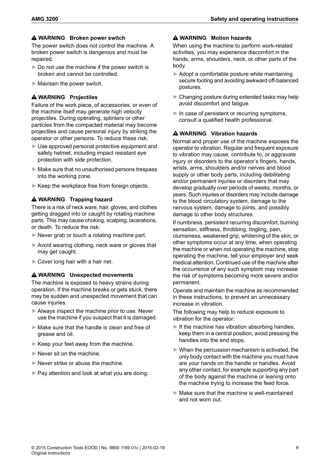#### **WARNING Broken power switch**

The power switch does not control the machine. A broken power switch is dangerous and must be repaired.

- $\triangleright$  Do not use the machine if the power switch is broken and cannot be controlled.
- $\blacktriangleright$  Maintain the power switch.

#### **WARNING Projectiles**

Failure of the work piece, of accessories, or even of the machine itself may generate high velocity projectiles. During operating, splinters or other particles from the compacted material may become projectiles and cause personal injury by striking the operator or other persons. To reduce these risk:

- ► Use approved personal protective equipment and safety helmet, including impact resistant eye protection with side protection.
- ► Make sure that no unauthorised persons trespass into the working zone.
- ► Keep the workplace free from foreign objects.

#### **WARNING Trapping hazard**

There is a risk of neck ware, hair, gloves, and clothes getting dragged into or caught by rotating machine parts. This may cause choking, scalping, lacerations, or death. To reduce the risk:

- ► Never grab or touch a rotating machine part.
- ► Avoid wearing clothing, neck ware or gloves that may get caught.
- ► Cover long hair with a hair net.

#### **WARNING Unexpected movements**

The machine is exposed to heavy strains during operation. If the machine breaks or gets stuck, there may be sudden and unexpected movement that can cause injuries.

- ► Always inspect the machine prior to use. Never use the machine if you suspect that it is damaged.
- ►Make sure that the handle is clean and free of grease and oil.
- ► Keep your feet away from the machine.
- ► Never sit on the machine.
- ►Never strike or abuse the machine.
- ► Pay attention and look at what you are doing.

### **WARNING Motion hazards**

When using the machine to perform work-related activities, you may experience discomfort in the hands, arms, shoulders, neck, or other parts of the body.

- ►Adopt a comfortable posture while maintaining secure footing and avoiding awkward off-balanced postures.
- $\blacktriangleright$  Changing posture during extended tasks may help avoid discomfort and fatigue.
- $\blacktriangleright$  In case of persistent or recurring symptoms, consult a qualified health professional.

#### **WARNING Vibration hazards**

Normal and proper use of the machine exposes the operator to vibration. Regular and frequent exposure to vibration may cause, contribute to, or aggravate injury or disorders to the operator's fingers, hands, wrists, arms, shoulders and/or nerves and blood supply or other body parts, including debilitating and/or permanent injuries or disorders that may develop gradually over periods of weeks, months, or years. Such injuries or disorders may include damage to the blood circulatory system, damage to the nervous system, damage to joints, and possibly damage to other body structures.

If numbness, persistent recurring discomfort, burning sensation, stiffness, throbbing, tingling, pain, clumsiness, weakened grip, whitening of the skin, or other symptoms occur at any time, when operating the machine or when not operating the machine, stop operating the machine, tell your employer and seek medical attention. Continued use of the machine after the occurrence of any such symptom may increase the risk of symptoms becoming more severe and/or permanent.

Operate and maintain the machine as recommended in these instructions, to prevent an unnecessary increase in vibration.

The following may help to reduce exposure to vibration for the operator:

- $\blacktriangleright$  If the machine has vibration absorbing handles, keep them in a central position, avoid pressing the handles into the end stops.
- $\blacktriangleright$  When the percussion mechanism is activated, the only body contact with the machine you must have are your hands on the handle or handles. Avoid any other contact, for example supporting any part of the body against the machine or leaning onto the machine trying to increase the feed force.
- $\blacktriangleright$  Make sure that the machine is well-maintained and not worn out.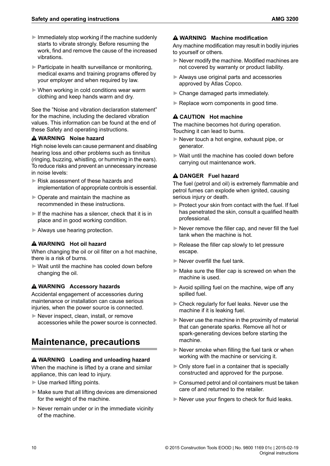- $\blacktriangleright$  Immediately stop working if the machine suddenly starts to vibrate strongly. Before resuming the work, find and remove the cause of the increased vibrations.
- ► Participate in health surveillance or monitoring, medical exams and training programs offered by your employer and when required by law.
- ► When working in cold conditions wear warm clothing and keep hands warm and dry.

See the "Noise and vibration declaration statement" for the machine, including the declared vibration values. This information can be found at the end of these Safety and operating instructions.

### **WARNING Noise hazard**

High noise levels can cause permanent and disabling hearing loss and other problems such as tinnitus (ringing, buzzing, whistling, or humming in the ears). To reduce risks and prevent an unnecessary increase in noise levels:

- ► Risk assessment of these hazards and implementation of appropriate controls is essential.
- ►Operate and maintain the machine as recommended in these instructions.
- $\blacktriangleright$  If the machine has a silencer, check that it is in place and in good working condition.
- ►Always use hearing protection.

### **WARNING Hot oil hazard**

When changing the oil or oil filter on a hot machine, there is a risk of burns.

►Wait until the machine has cooled down before changing the oil.

### **WARNING Accessory hazards**

<span id="page-9-0"></span>Accidental engagement of accessories during maintenance or installation can cause serious injuries, when the power source is connected.

►Never inspect, clean, install, or remove accessories while the power source is connected.

### **Maintenance, precautions**

### **WARNING Loading and unloading hazard**

When the machine is lifted by a crane and similar appliance, this can lead to injury.

- ►Use marked lifting points.
- $\blacktriangleright$  Make sure that all lifting devices are dimensioned for the weight of the machine.
- $\blacktriangleright$  Never remain under or in the immediate vicinity of the machine.

#### **WARNING Machine modification**

Anv machine modification may result in bodily injuries to yourself or others.

- $\blacktriangleright$  Never modify the machine. Modified machines are not covered by warranty or product liability.
- ►Always use original parts and accessories approved by Atlas Copco.
- ► Change damaged parts immediately.
- ► Replace worn components in good time.

### **CAUTION Hot machine**

The machine becomes hot during operation. Touching it can lead to burns.

- ►Never touch a hot engine, exhaust pipe, or generator.
- ►Wait until the machine has cooled down before carrying out maintenance work.

### **DANGER Fuel hazard**

The fuel (petrol and oil) is extremely flammable and petrol fumes can explode when ignited, causing serious injury or death.

- ► Protect your skin from contact with the fuel. If fuel has penetrated the skin, consult a qualified health professional.
- $\blacktriangleright$  Never remove the filler cap, and never fill the fuel tank when the machine is hot.
- ► Release the filler cap slowly to let pressure escape.
- ► Never overfill the fuel tank.
- $\blacktriangleright$  Make sure the filler cap is screwed on when the machine is used.
- ► Avoid spilling fuel on the machine, wipe off any spilled fuel.
- ►Check regularly for fuel leaks. Never use the machine if it is leaking fuel.
- $\triangleright$  Never use the machine in the proximity of material that can generate sparks. Remove all hot or spark-generating devices before starting the machine.
- ► Never smoke when filling the fuel tank or when working with the machine or servicing it.
- $\triangleright$  Only store fuel in a container that is specially constructed and approved for the purpose.
- $\blacktriangleright$  Consumed petrol and oil containers must be taken care of and returned to the retailer.
- ► Never use your fingers to check for fluid leaks.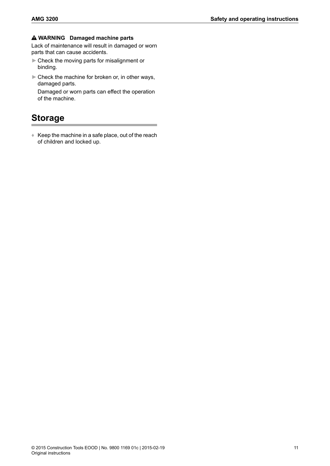### **WARNING Damaged machine parts**

Lack of maintenance will result in damaged or worn parts that can cause accidents.

- ►Check the moving parts for misalignment or binding.
- ► Check the machine for broken or, in other ways, damaged parts.

<span id="page-10-0"></span>Damaged or worn parts can effect the operation of the machine.

### **Storage**

 $\triangleq$  Keep the machine in a safe place, out of the reach of children and locked up.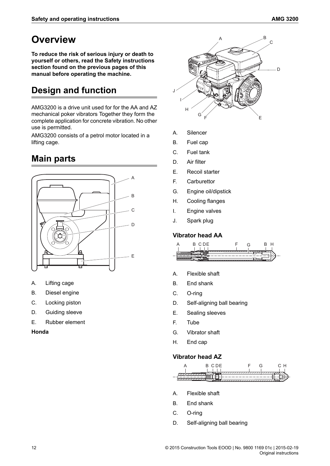## <span id="page-11-0"></span>**Overview**

**To reduce the risk of serious injury or death to yourself or others, read the Safety instructions section found on the previous pages of this manual before operating the machine.**

## <span id="page-11-1"></span>**Design and function**

AMG3200 is a drive unit used for for the AA and AZ mechanical poker vibrators Together they form the complete application for concrete vibration. No other use is permitted.

<span id="page-11-2"></span>AMG3200 consists of a petrol motor located in a lifting cage.

## **Main parts**



- A. Lifting cage
- B. Diesel engine
- C. Locking piston
- D. Guiding sleeve
- E. Rubber element

### **Honda**



- A. Silencer
- B. Fuel cap
- C. Fuel tank
- D. Air filter
- E. Recoil starter
- F. Carburettor
- G. Engine oil/dipstick
- H. Cooling flanges
- <span id="page-11-3"></span>I. Engine valves
- J. Spark plug

### **Vibrator head AA**



- A. Flexible shaft
- B. End shank
- C. O-ring
- D. Self-aligning ball bearing
- <span id="page-11-4"></span>E. Sealing sleeves
- F. Tube
- G. Vibrator shaft
- H. End cap

### **Vibrator head AZ**



- A. Flexible shaft
- B. End shank
- C. O-ring
- D. Self-aligning ball bearing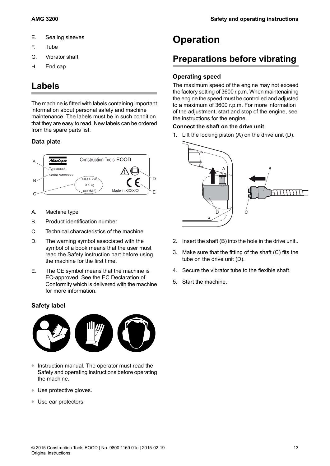- E. Sealing sleeves
- F. Tube
- G. Vibrator shaft
- <span id="page-12-0"></span>H. End cap

### **Labels**

The machine is fitted with labels containing important information about personal safety and machine maintenance. The labels must be in such condition that they are easy to read. New labels can be ordered from the spare parts list.

### <span id="page-12-1"></span>**Data plate**



- A. Machine type
- B. Product identification number
- C. Technical characteristics of the machine
- D. The warning symbol associated with the symbol of a book means that the user must read the Safety instruction part before using the machine for the first time.
- <span id="page-12-2"></span>E. The CE symbol means that the machine is EC-approved. See the EC Declaration of Conformity which is delivered with the machine for more information.

### **Safety label**



- ♦ Instruction manual. The operator must read the Safety and operating instructions before operating the machine.
- ♦ Use protective gloves.
- ♦ Use ear protectors.

## <span id="page-12-3"></span>**Operation**

### <span id="page-12-4"></span>**Preparations before vibrating**

### <span id="page-12-5"></span>**Operating speed**

The maximum speed of the engine may not exceed the factory setting of 3600 r.p.m. When maintenaining the engine the speed must be controlled and adjusted to a maximum of 3600 r.p.m. For more information of the adjustment, start and stop of the engine, see the instructions for the engine.

### **Connect the shaft on the drive unit**

1. Lift the locking piston (A) on the drive unit (D).



- 2. Insert the shaft (B) into the hole in the drive unit..
- 3. Make sure that the fitting of the shaft (C) fits the tube on the drive unit (D).
- 4. Secure the vibrator tube to the flexible shaft.
- 5. Start the machine.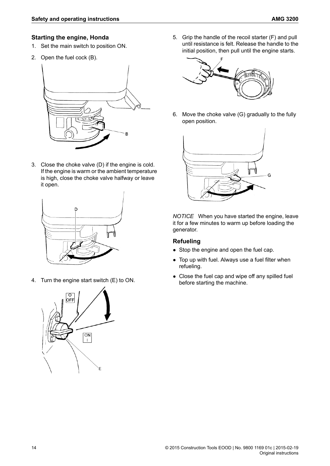### <span id="page-13-0"></span>**Starting the engine, Honda**

- 1. Set the main switch to position ON.
- 2. Open the fuel cock (B).



3. Close the choke valve (D) if the engine is cold. If the engine is warm or the ambient temperature is high, close the choke valve halfway or leave it open.



4. Turn the engine start switch (E) to ON.



5. Grip the handle of the recoil starter (F) and pull until resistance is felt. Release the handle to the initial position, then pull until the engine starts.



6. Move the choke valve (G) gradually to the fully open position.



<span id="page-13-1"></span>*NOTICE* When you have started the engine, leave it for a few minutes to warm up before loading the generator.

### **Refueling**

- Stop the engine and open the fuel cap.
- Top up with fuel. Always use a fuel filter when refueling.
- Close the fuel cap and wipe off any spilled fuel before starting the machine.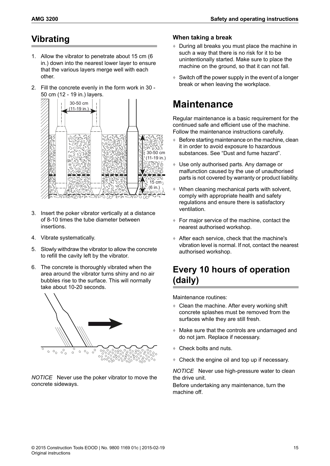## <span id="page-14-0"></span>**Vibrating**

- 1. Allow the vibrator to penetrate about 15 cm (6 in.) down into the nearest lower layer to ensure that the various layers merge well with each other.
- 2. Fill the concrete evenly in the form work in 30 50 cm (12 - 19 in.) layers.



- 3. Insert the poker vibrator vertically at a distance of 8-10 times the tube diameter between insertions.
- 4. Vibrate systematically.
- 5. Slowly withdraw the vibrator to allow the concrete to refill the cavity left by the vibrator.
- 6. The concrete is thoroughly vibrated when the area around the vibrator turns shiny and no air bubbles rise to the surface. This will normally take about 10-20 seconds.



*NOTICE* Never use the poker vibrator to move the concrete sideways.

### <span id="page-14-1"></span>**When taking a break**

- ♦ During all breaks you must place the machine in such a way that there is no risk for it to be unintentionally started. Make sure to place the machine on the ground, so that it can not fall.
- <span id="page-14-2"></span> $\triangleq$  Switch off the power supply in the event of a longer break or when leaving the workplace.

## **Maintenance**

Regular maintenance is a basic requirement for the continued safe and efficient use of the machine. Follow the maintenance instructions carefully.

- $\triangle$  Before starting maintenance on the machine, clean it in order to avoid exposure to hazardous substances. See "Dust and fume hazard".
- ♦ Use only authorised parts. Any damage or malfunction caused by the use of unauthorised parts is not covered by warranty or product liability.
- $\triangleq$  When cleaning mechanical parts with solvent, comply with appropriate health and safety regulations and ensure there is satisfactory ventilation.
- ♦ For major service of the machine, contact the nearest authorised workshop.
- <span id="page-14-3"></span>♦ After each service, check that the machine's vibration level is normal. If not, contact the nearest authorised workshop.

### **Every 10 hours of operation (daily)**

Maintenance routines:

- ♦ Clean the machine. After every working shift concrete splashes must be removed from the surfaces while they are still fresh.
- ♦ Make sure that the controls are undamaged and do not jam. Replace if necessary.
- ♦ Check bolts and nuts.
- ♦ Check the engine oil and top up if necessary.

*NOTICE* Never use high-pressure water to clean the drive unit.

Before undertaking any maintenance, turn the machine off.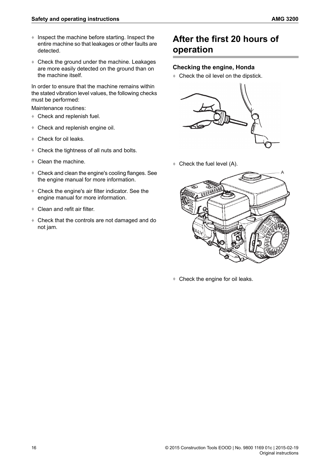- ♦ Inspect the machine before starting. Inspect the entire machine so that leakages or other faults are detected.
- ♦ Check the ground under the machine. Leakages are more easily detected on the ground than on the machine itself.

In order to ensure that the machine remains within the stated vibration level values, the following checks must be performed:

Maintenance routines:

- ♦ Check and replenish fuel.
- ♦ Check and replenish engine oil.
- ♦ Check for oil leaks.
- ♦ Check the tightness of all nuts and bolts.
- ♦ Clean the machine.
- Check and clean the engine's cooling flanges. See the engine manual for more information.
- ♦ Check the engine's air filter indicator. See the engine manual for more information.
- ♦ Clean and refit air filter.
- ♦ Check that the controls are not damaged and do not jam.

### <span id="page-15-0"></span>**After the first 20 hours of operation**

#### <span id="page-15-1"></span>**Checking the engine, Honda**

♦ Check the oil level on the dipstick.



♦ Check the fuel level (A).



♦ Check the engine for oil leaks.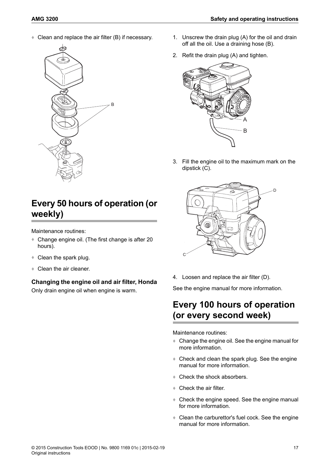♦ Clean and replace the air filter (B) if necessary.



## <span id="page-16-0"></span>**Every 50 hours of operation (or weekly)**

Maintenance routines:

- ♦ Change engine oil. (The first change is after 20 hours).
- <span id="page-16-1"></span>♦ Clean the spark plug.
- ♦ Clean the air cleaner.

### **Changing the engine oil and air filter, Honda**

Only drain engine oil when engine is warm.

- 1. Unscrew the drain plug (A) for the oil and drain off all the oil. Use a draining hose (B).
- 2. Refit the drain plug (A) and tighten.



3. Fill the engine oil to the maximum mark on the dipstick (C).



<span id="page-16-2"></span>4. Loosen and replace the air filter (D).

See the engine manual for more information.

### **Every 100 hours of operation (or every second week)**

Maintenance routines:

- ♦ Change the engine oil. See the engine manual for more information.
- ♦ Check and clean the spark plug. See the engine manual for more information.
- ♦ Check the shock absorbers.
- ♦ Check the air filter.
- ♦ Check the engine speed. See the engine manual for more information.
- ♦ Clean the carburettor's fuel cock. See the engine manual for more information.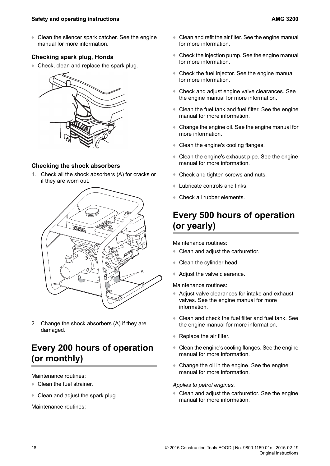♦ Clean the silencer spark catcher. See the engine manual for more information.

### <span id="page-17-0"></span>**Checking spark plug, Honda**

♦ Check, clean and replace the spark plug.



### <span id="page-17-1"></span>**Checking the shock absorbers**

1. Check all the shock absorbers (A) for cracks or if they are worn out.



<span id="page-17-2"></span>2. Change the shock absorbers (A) if they are damaged.

### **Every 200 hours of operation (or monthly)**

#### Maintenance routines:

- Clean the fuel strainer.
- ♦ Clean and adjust the spark plug.

Maintenance routines:

- $\triangleleft$  Clean and refit the air filter. See the engine manual for more information.
- $\triangle$  Check the injection pump. See the engine manual for more information.
- ♦ Check the fuel injector. See the engine manual for more information.
- ♦ Check and adjust engine valve clearances. See the engine manual for more information.
- ♦ Clean the fuel tank and fuel filter. See the engine manual for more information.
- ♦ Change the engine oil. See the engine manual for more information.
- ♦ Clean the engine's cooling flanges.
- ♦ Clean the engine's exhaust pipe. See the engine manual for more information.
- ♦ Check and tighten screws and nuts.
- <span id="page-17-3"></span>♦ Lubricate controls and links.
- ♦ Check all rubber elements.

## **Every 500 hours of operation (or yearly)**

Maintenance routines:

- ♦ Clean and adjust the carburettor.
- Clean the cylinder head
- ♦ Adjust the valve clearence.

Maintenance routines:

- ♦ Adjust valve clearances for intake and exhaust valves. See the engine manual for more information.
- ♦ Clean and check the fuel filter and fuel tank. See the engine manual for more information.
- ♦ Replace the air filter.
- $\triangle$  Clean the engine's cooling flanges. See the engine manual for more information.
- ♦ Change the oil in the engine. See the engine manual for more information.

### *Applies to petrol engines.*

♦ Clean and adjust the carburettor. See the engine manual for more information.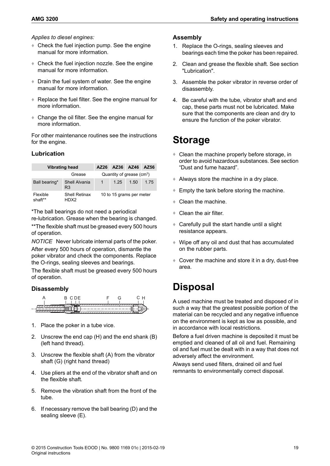#### *Applies to diesel engines:*

- ♦ Check the fuel injection pump. See the engine manual for more information.
- ♦ Check the fuel injection nozzle. See the engine manual for more information.
- ♦ Drain the fuel system of water. See the engine manual for more information.
- ♦ Replace the fuel filter. See the engine manual for more information.
- ♦ Change the oil filter. See the engine manual for more information.

<span id="page-18-0"></span>For other maintenance routines see the instructions for the engine.

### **Lubrication**

| <b>Vibrating head</b> |                                 | AZ26 | AZ36 AZ46                             |      | AZ56 |
|-----------------------|---------------------------------|------|---------------------------------------|------|------|
|                       | Grease                          |      | Quantity of grease (cm <sup>3</sup> ) |      |      |
| Ball bearing*         | Shell Alvania<br>R <sub>3</sub> | 1    | 1 25                                  | 1.50 | 1 75 |
| Flexible<br>shaft**   | <b>Shell Retinax</b><br>HDX2    |      | 10 to 15 grams per meter              |      |      |

\*The ball bearings do not need a periodical re-lubrication. Grease when the bearing is changed.

\*\*The flexible shaft must be greased every 500 hours of operation.

*NOTICE* Never lubricate internal parts of the poker. After every 500 hours of operation, dismantle the poker vibrator and check the components. Replace the O-rings, sealing sleeves and bearings.

<span id="page-18-1"></span>The flexible shaft must be greased every 500 hours of operation.

### **Disassembly**



- 1. Place the poker in a tube vice.
- 2. Unscrew the end cap (H) and the end shank (B) (left hand thread).
- 3. Unscrew the flexible shaft (A) from the vibrator shaft (G) (right hand thread)
- 4. Use pliers at the end of the vibrator shaft and on the flexible shaft.
- 5. Remove the vibration shaft from the front of the tube.
- 6. If necessary remove the ball bearing (D) and the sealing sleeve (E).

### <span id="page-18-2"></span>**Assembly**

- 1. Replace the O-rings, sealing sleeves and bearings each time the poker has been repaired.
- 2. Clean and grease the flexible shaft. See section "Lubrication".
- 3. Assemble the poker vibrator in reverse order of disassembly.
- <span id="page-18-3"></span>4. Be careful with the tube, vibrator shaft and end cap, these parts must not be lubricated. Make sure that the components are clean and dry to ensure the function of the poker vibrator.

## **Storage**

- ♦ Clean the machine properly before storage, in order to avoid hazardous substances. See section "Dust and fume hazard".
- ♦ Always store the machine in a dry place.
- ♦ Empty the tank before storing the machine.
- $\triangleleft$  Clean the machine.
- $\triangleleft$  Clean the air filter.
- ♦ Carefully pull the start handle until a slight resistance appears.
- <span id="page-18-4"></span>♦ Wipe off any oil and dust that has accumulated on the rubber parts.
- ♦ Cover the machine and store it in a dry, dust-free area.

## **Disposal**

A used machine must be treated and disposed of in such a way that the greatest possible portion of the material can be recycled and any negative influence on the environment is kept as low as possible, and in accordance with local restrictions.

Before a fuel driven machine is deposited it must be emptied and cleaned of all oil and fuel. Remaining oil and fuel must be dealt with in a way that does not adversely affect the environment.

Always send used filters, drained oil and fuel remnants to environmentally correct disposal.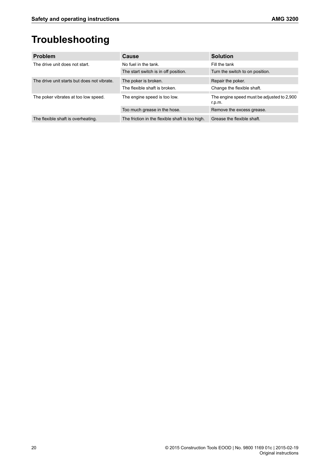# <span id="page-19-0"></span>**Troubleshooting**

| <b>Problem</b>                              | <b>Cause</b>                                    | <b>Solution</b>                                      |
|---------------------------------------------|-------------------------------------------------|------------------------------------------------------|
| The drive unit does not start.              | No fuel in the tank.                            | Fill the tank                                        |
|                                             | The start switch is in off position.            | Turn the switch to on position.                      |
| The drive unit starts but does not vibrate. | The poker is broken.                            | Repair the poker.                                    |
|                                             | The flexible shaft is broken.                   | Change the flexible shaft.                           |
| The poker vibrates at too low speed.        | The engine speed is too low.                    | The engine speed must be adjusted to 2,900<br>r.p.m. |
|                                             | Too much grease in the hose.                    | Remove the excess grease.                            |
| The flexible shaft is overheating.          | The friction in the flexible shaft is too high. | Grease the flexible shaft.                           |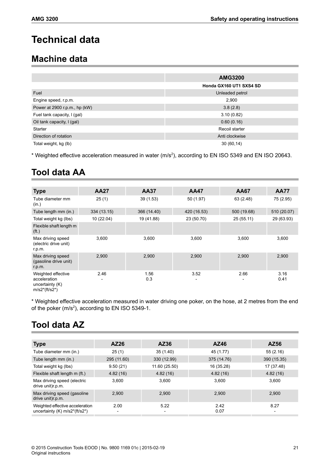## <span id="page-20-0"></span>**Technical data**

### <span id="page-20-1"></span>**Machine data**

|                               | <b>AMG3200</b>          |
|-------------------------------|-------------------------|
|                               | Honda GX160 UT1 SXS4 SD |
| Fuel                          | Unleaded petrol         |
| Engine speed, r.p.m.          | 2,900                   |
| Power at 2900 r.p.m., hp (kW) | 3.8(2.8)                |
| Fuel tank capacity, I (gal)   | 3.10(0.82)              |
| Oil tank capacity, I (gal)    | 0.60(0.16)              |
| <b>Starter</b>                | Recoil starter          |
| Direction of rotation         | Anti clockwise          |
| Total weight, kg (lb)         | 30(60,14)               |

<span id="page-20-2"></span>\* Weighted effective acceleration measured in water (m/s<sup>2</sup>), according to EN ISO 5349 and EN ISO 20643.

## **Tool data AA**

| <b>Type</b>                                                                | <b>AA27</b>             | <b>AA37</b> | <b>AA47</b>                          | <b>AA67</b> | <b>AA77</b>  |
|----------------------------------------------------------------------------|-------------------------|-------------|--------------------------------------|-------------|--------------|
| Tube diameter mm<br>(in.)                                                  | 25(1)                   | 39(1.53)    | 50(1.97)                             | 63 (2.48)   | 75 (2.95)    |
| Tube length mm (in.)                                                       | 334 (13.15)             | 366 (14.40) | 420 (16.53)                          | 500 (19.68) | 510 (20.07)  |
| Total weight kg (lbs)                                                      | 10 (22.04)              | 19 (41.88)  | 23 (50.70)                           | 25(55.11)   | 29 (63.93)   |
| Flexible shaft length m<br>( <i>ft</i> .)                                  |                         |             |                                      |             |              |
| Max driving speed<br>(electric drive unit)<br>r.p.m.                       | 3,600                   | 3,600       | 3,600                                | 3,600       | 3,600        |
| Max driving speed<br>(gasoline drive unit)<br>r.p.m.                       | 2,900                   | 2,900       | 2,900                                | 2,900       | 2,900        |
| Weighted effective<br>acceleration<br>uncertainty $(K)$<br>$m/s2*(ft/s2*)$ | 2.46<br>$\qquad \qquad$ | 1.56<br>0.3 | 3.52<br>$\qquad \qquad \blacksquare$ | 2.66        | 3.16<br>0.41 |

<span id="page-20-3"></span>\* Weighted effective acceleration measured in water driving one poker, on the hose, at 2 metres from the end of the poker (m/s<sup>2</sup>), according to EN ISO 5349-1.

## **Tool data AZ**

| Type                                                               | AZ26                             | AZ36          | AZ46         | AZ56                             |
|--------------------------------------------------------------------|----------------------------------|---------------|--------------|----------------------------------|
| Tube diameter mm (in.)                                             | 25(1)                            | 35 (1.40)     | 45 (1.77)    | 55(2.16)                         |
| Tube length mm (in.)                                               | 295 (11.60)                      | 330 (12.99)   | 375 (14.76)  | 390 (15.35)                      |
| Total weight kg (lbs)                                              | 9.50(21)                         | 11.60 (25.50) | 16 (35.28)   | 17 (37.48)                       |
| Flexible shaft length m (ft.)                                      | 4.82(16)                         | 4.82(16)      | 4.82(16)     | 4.82(16)                         |
| Max driving speed (electric<br>drive unit)r.p.m.                   | 3,600                            | 3.600         | 3.600        | 3.600                            |
| Max driving speed (gasoline<br>drive unit)r.p.m.                   | 2,900                            | 2.900         | 2.900        | 2,900                            |
| Weighted effective acceleration<br>uncertainty $(K)$ m/s2*(ft/s2*) | 2.00<br>$\overline{\phantom{a}}$ | 5.22          | 2.42<br>0.07 | 8.27<br>$\overline{\phantom{a}}$ |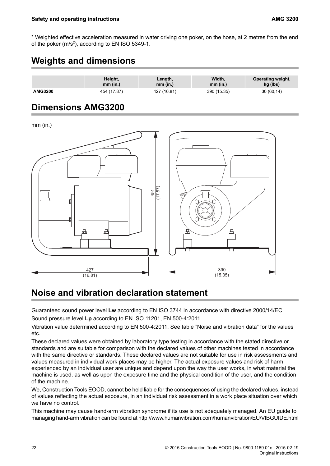<span id="page-21-0"></span>\* Weighted effective acceleration measured in water driving one poker, on the hose, at 2 metres from the end of the poker (m/s<sup>2</sup>), according to EN ISO 5349-1.

### **Weights and dimensions**

|                | Height,     | Length,     | Width.      | Operating weight, |
|----------------|-------------|-------------|-------------|-------------------|
|                | mm (in.)    | $mm$ (in.)  | mm (in.)    | kg (lbs)          |
| <b>AMG3200</b> | 454 (17.87) | 427 (16.81) | 390 (15.35) | 30(60,14)         |

### <span id="page-21-1"></span>**Dimensions AMG3200**

mm (in.)



### <span id="page-21-2"></span>**Noise and vibration declaration statement**

Guaranteed sound power level **Lw** according to EN ISO 3744 in accordance with directive 2000/14/EC. Sound pressure level **Lp** according to EN ISO 11201, EN 500-4:2011.

Vibration value determined according to EN 500-4:2011. See table "Noise and vibration data" for the values etc.

These declared values were obtained by laboratory type testing in accordance with the stated directive or standards and are suitable for comparison with the declared values of other machines tested in accordance with the same directive or standards. These declared values are not suitable for use in risk assessments and values measured in individual work places may be higher. The actual exposure values and risk of harm experienced by an individual user are unique and depend upon the way the user works, in what material the machine is used, as well as upon the exposure time and the physical condition of the user, and the condition of the machine.

We, Construction Tools EOOD, cannot be held liable for the consequences of using the declared values, instead of values reflecting the actual exposure, in an individual risk assessment in a work place situation over which we have no control.

This machine may cause hand-arm vibration syndrome if its use is not adequately managed. An EU guide to managing hand-arm vibration can be found at http://www.humanvibration.com/humanvibration/EU/VIBGUIDE.html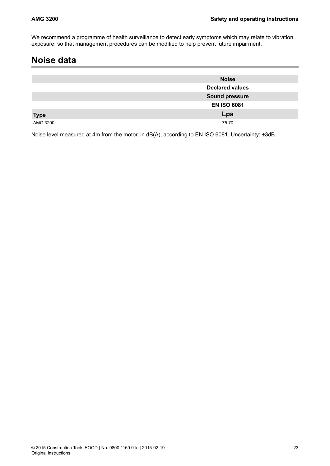<span id="page-22-0"></span>We recommend a programme of health surveillance to detect early symptoms which may relate to vibration exposure, so that management procedures can be modified to help prevent future impairment.

### **Noise data**

|             | <b>Noise</b>           |
|-------------|------------------------|
|             | <b>Declared values</b> |
|             | <b>Sound pressure</b>  |
|             | <b>EN ISO 6081</b>     |
| <b>Type</b> | Lpa                    |
| AMG 3200    | 75.70                  |

Noise level measured at 4m from the motor, in dB(A), according to EN ISO 6081. Uncertainty: ±3dB.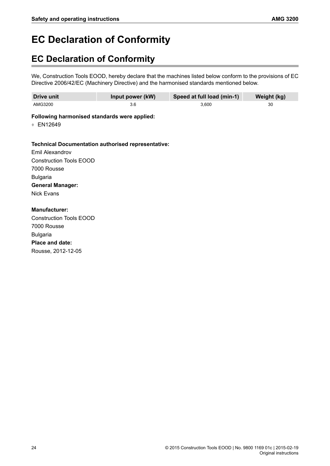# <span id="page-23-0"></span>**EC Declaration of Conformity**

## <span id="page-23-1"></span>**EC Declaration of Conformity**

We, Construction Tools EOOD, hereby declare that the machines listed below conform to the provisions of EC Directive 2006/42/EC (Machinery Directive) and the harmonised standards mentioned below.

| Drive unit | Input power (kW) | Speed at full load (min-1) | Weight (kg) |
|------------|------------------|----------------------------|-------------|
| AMG3200    | 3.6              | 3.600                      | 30          |

### **Following harmonised standards were applied:**

♦ EN12649

### **Technical Documentation authorised representative:**

Emil Alexandrov Construction Tools EOOD 7000 Rousse Bulgaria **General Manager:** Nick Evans

**Manufacturer:** Construction Tools EOOD 7000 Rousse Bulgaria **Place and date:** Rousse, 2012-12-05